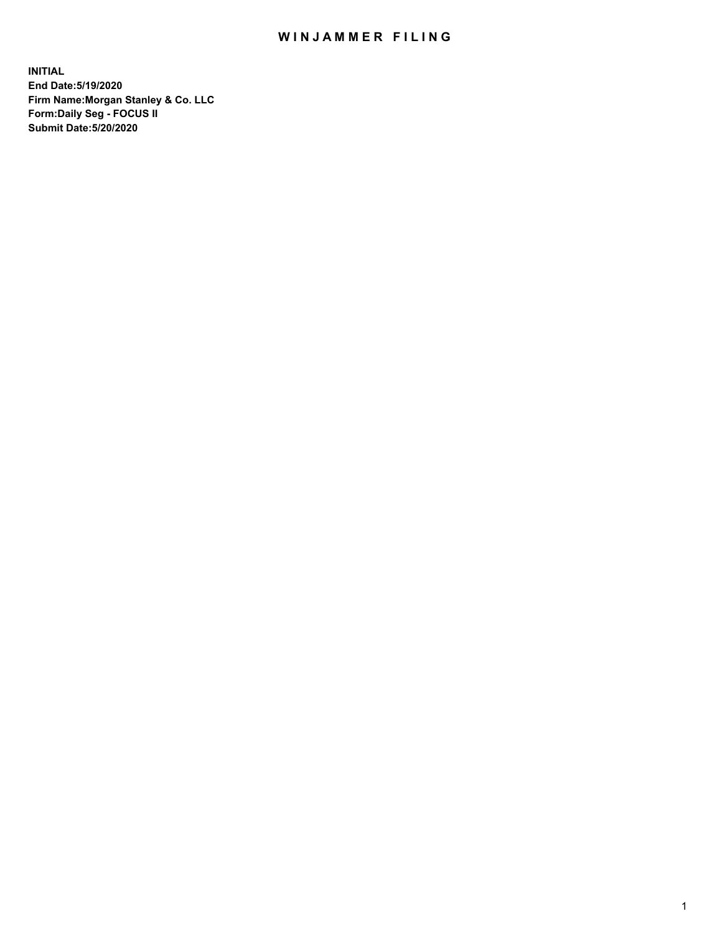## WIN JAMMER FILING

**INITIAL End Date:5/19/2020 Firm Name:Morgan Stanley & Co. LLC Form:Daily Seg - FOCUS II Submit Date:5/20/2020**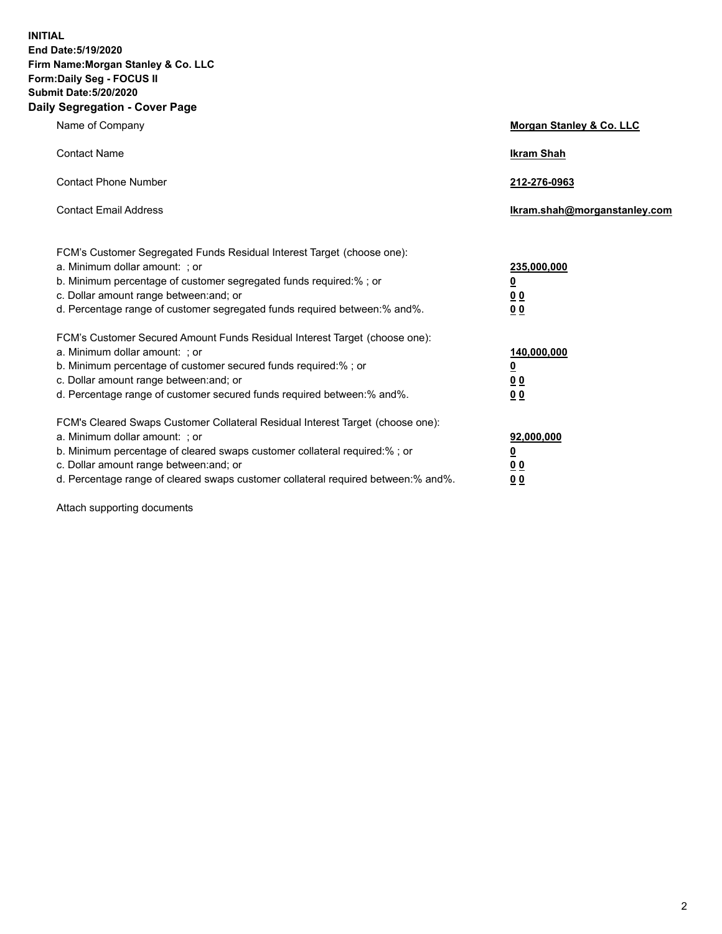**INITIAL End Date:5/19/2020 Firm Name:Morgan Stanley & Co. LLC Form:Daily Seg - FOCUS II Submit Date:5/20/2020 Daily Segregation - Cover Page**

| Name of Company                                                                                                                                                                                                                                                                                                                | Morgan Stanley & Co. LLC                                |
|--------------------------------------------------------------------------------------------------------------------------------------------------------------------------------------------------------------------------------------------------------------------------------------------------------------------------------|---------------------------------------------------------|
| <b>Contact Name</b>                                                                                                                                                                                                                                                                                                            | <b>Ikram Shah</b>                                       |
| <b>Contact Phone Number</b>                                                                                                                                                                                                                                                                                                    | 212-276-0963                                            |
| <b>Contact Email Address</b>                                                                                                                                                                                                                                                                                                   | Ikram.shah@morganstanley.com                            |
| FCM's Customer Segregated Funds Residual Interest Target (choose one):<br>a. Minimum dollar amount: ; or<br>b. Minimum percentage of customer segregated funds required:% ; or<br>c. Dollar amount range between: and; or<br>d. Percentage range of customer segregated funds required between:% and%.                         | 235,000,000<br><u>0</u><br><u>00</u><br><u>00</u>       |
| FCM's Customer Secured Amount Funds Residual Interest Target (choose one):<br>a. Minimum dollar amount: ; or<br>b. Minimum percentage of customer secured funds required:%; or<br>c. Dollar amount range between: and; or<br>d. Percentage range of customer secured funds required between:% and%.                            | 140,000,000<br><u>0</u><br><u>0 0</u><br>0 <sub>0</sub> |
| FCM's Cleared Swaps Customer Collateral Residual Interest Target (choose one):<br>a. Minimum dollar amount: ; or<br>b. Minimum percentage of cleared swaps customer collateral required:% ; or<br>c. Dollar amount range between: and; or<br>d. Percentage range of cleared swaps customer collateral required between:% and%. | 92,000,000<br><u>0</u><br><u>00</u><br>00               |

Attach supporting documents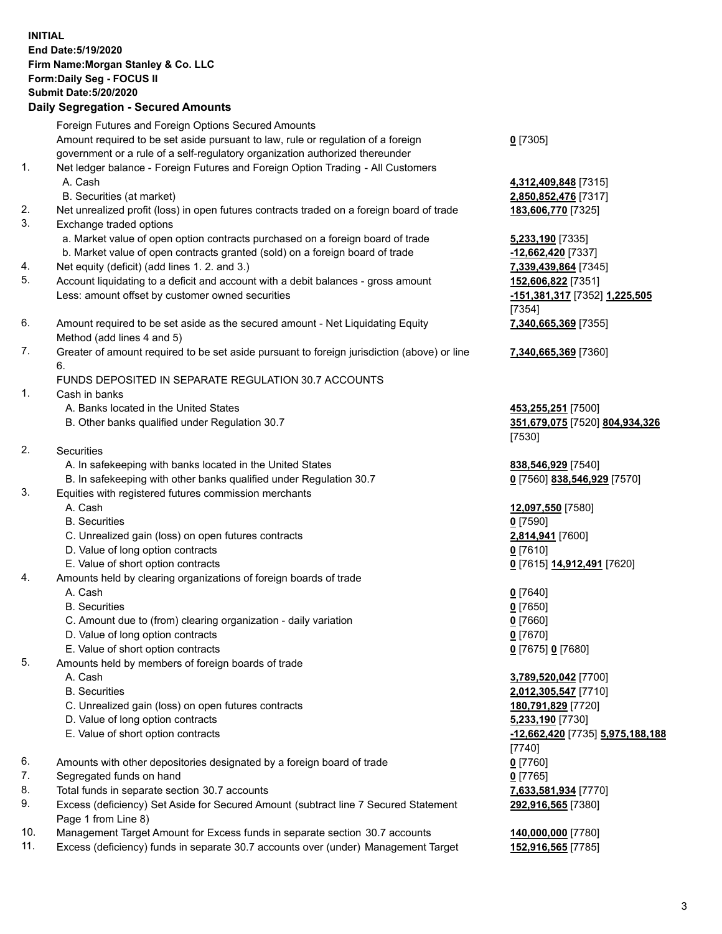## **INITIAL End Date:5/19/2020 Firm Name:Morgan Stanley & Co. LLC Form:Daily Seg - FOCUS II Submit Date:5/20/2020 Daily Segregation - Secured Amounts** Foreign Futures and Foreign Options Secured Amounts Amount required to be set aside pursuant to law, rule or regulation of a foreign government or a rule of a self-regulatory organization authorized thereunder **0** [7305] 1. Net ledger balance - Foreign Futures and Foreign Option Trading - All Customers A. Cash **4,312,409,848** [7315] B. Securities (at market) **2,850,852,476** [7317] 2. Net unrealized profit (loss) in open futures contracts traded on a foreign board of trade **183,606,770** [7325] 3. Exchange traded options a. Market value of open option contracts purchased on a foreign board of trade **5,233,190** [7335] b. Market value of open contracts granted (sold) on a foreign board of trade **-12,662,420** [7337] 4. Net equity (deficit) (add lines 1. 2. and 3.) **7,339,439,864** [7345] 5. Account liquidating to a deficit and account with a debit balances - gross amount **152,606,822** [7351] Less: amount offset by customer owned securities **-151,381,317** [7352] **1,225,505** [7354] 6. Amount required to be set aside as the secured amount - Net Liquidating Equity Method (add lines 4 and 5) **7,340,665,369** [7355] 7. Greater of amount required to be set aside pursuant to foreign jurisdiction (above) or line 6. **7,340,665,369** [7360] FUNDS DEPOSITED IN SEPARATE REGULATION 30.7 ACCOUNTS 1. Cash in banks A. Banks located in the United States **453,255,251** [7500] B. Other banks qualified under Regulation 30.7 **351,679,075** [7520] **804,934,326** [7530] 2. Securities A. In safekeeping with banks located in the United States **838,546,929** [7540] B. In safekeeping with other banks qualified under Regulation 30.7 **0** [7560] **838,546,929** [7570] 3. Equities with registered futures commission merchants A. Cash **12,097,550** [7580] B. Securities **0** [7590] C. Unrealized gain (loss) on open futures contracts **2,814,941** [7600] D. Value of long option contracts **0** [7610] E. Value of short option contracts **0** [7615] **14,912,491** [7620] 4. Amounts held by clearing organizations of foreign boards of trade A. Cash **0** [7640] B. Securities **0** [7650] C. Amount due to (from) clearing organization - daily variation **0** [7660] D. Value of long option contracts **0** [7670] E. Value of short option contracts **0** [7675] **0** [7680] 5. Amounts held by members of foreign boards of trade A. Cash **3,789,520,042** [7700] B. Securities **2,012,305,547** [7710] C. Unrealized gain (loss) on open futures contracts **180,791,829** [7720] D. Value of long option contracts **5,233,190** [7730] E. Value of short option contracts **-12,662,420** [7735] **5,975,188,188** [7740] 6. Amounts with other depositories designated by a foreign board of trade **0** [7760] 7. Segregated funds on hand **0** [7765] 8. Total funds in separate section 30.7 accounts **7,633,581,934** [7770] 9. Excess (deficiency) Set Aside for Secured Amount (subtract line 7 Secured Statement Page 1 from Line 8) **292,916,565** [7380]

- 10. Management Target Amount for Excess funds in separate section 30.7 accounts **140,000,000** [7780]
- 11. Excess (deficiency) funds in separate 30.7 accounts over (under) Management Target **152,916,565** [7785]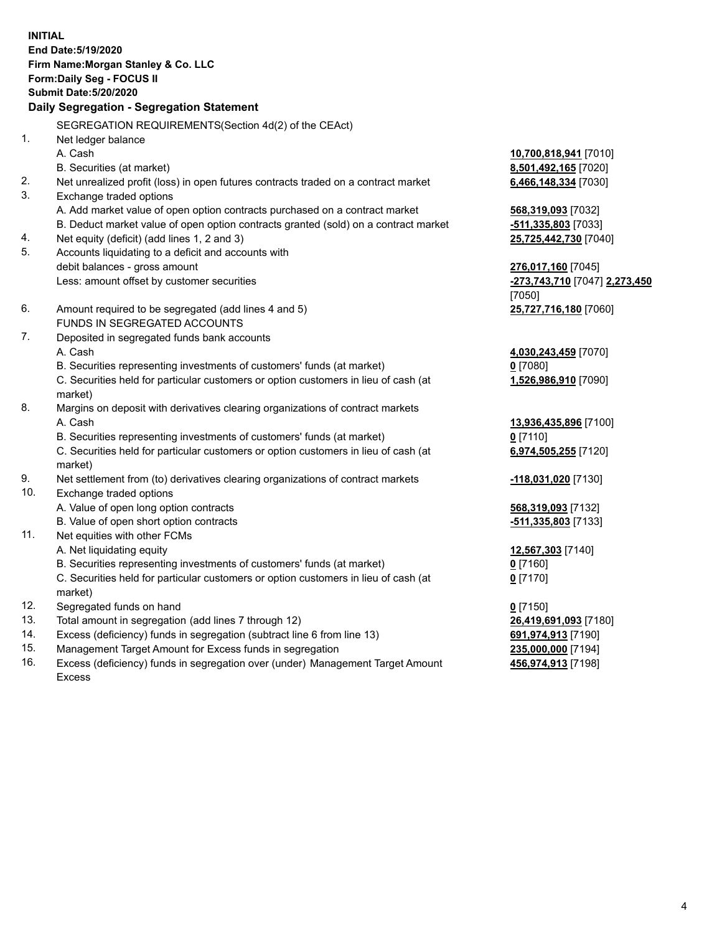**INITIAL End Date:5/19/2020 Firm Name:Morgan Stanley & Co. LLC Form:Daily Seg - FOCUS II Submit Date:5/20/2020 Daily Segregation - Segregation Statement** SEGREGATION REQUIREMENTS(Section 4d(2) of the CEAct) 1. Net ledger balance A. Cash **10,700,818,941** [7010] B. Securities (at market) **8,501,492,165** [7020] 2. Net unrealized profit (loss) in open futures contracts traded on a contract market **6,466,148,334** [7030] 3. Exchange traded options A. Add market value of open option contracts purchased on a contract market **568,319,093** [7032] B. Deduct market value of open option contracts granted (sold) on a contract market **-511,335,803** [7033] 4. Net equity (deficit) (add lines 1, 2 and 3) **25,725,442,730** [7040] 5. Accounts liquidating to a deficit and accounts with debit balances - gross amount **276,017,160** [7045] Less: amount offset by customer securities **-273,743,710** [7047] **2,273,450** [7050] 6. Amount required to be segregated (add lines 4 and 5) **25,727,716,180** [7060] FUNDS IN SEGREGATED ACCOUNTS 7. Deposited in segregated funds bank accounts A. Cash **4,030,243,459** [7070] B. Securities representing investments of customers' funds (at market) **0** [7080] C. Securities held for particular customers or option customers in lieu of cash (at market) **1,526,986,910** [7090] 8. Margins on deposit with derivatives clearing organizations of contract markets A. Cash **13,936,435,896** [7100] B. Securities representing investments of customers' funds (at market) **0** [7110] C. Securities held for particular customers or option customers in lieu of cash (at market) **6,974,505,255** [7120] 9. Net settlement from (to) derivatives clearing organizations of contract markets **-118,031,020** [7130] 10. Exchange traded options A. Value of open long option contracts **568,319,093** [7132] B. Value of open short option contracts **-511,335,803** [7133] 11. Net equities with other FCMs A. Net liquidating equity **12,567,303** [7140] B. Securities representing investments of customers' funds (at market) **0** [7160] C. Securities held for particular customers or option customers in lieu of cash (at market) **0** [7170] 12. Segregated funds on hand **0** [7150] 13. Total amount in segregation (add lines 7 through 12) **26,419,691,093** [7180] 14. Excess (deficiency) funds in segregation (subtract line 6 from line 13) **691,974,913** [7190] 15. Management Target Amount for Excess funds in segregation **235,000,000** [7194]

16. Excess (deficiency) funds in segregation over (under) Management Target Amount Excess

**456,974,913** [7198]